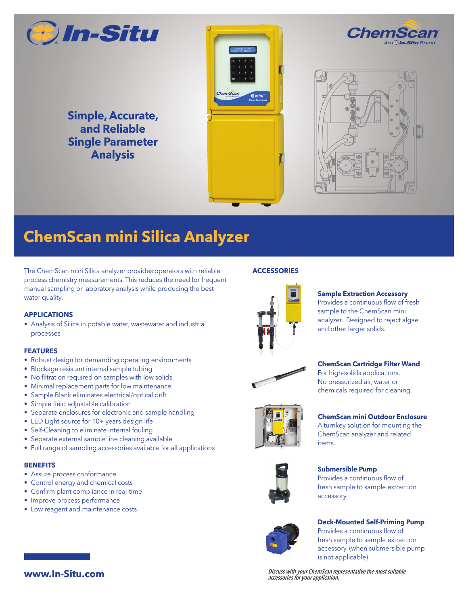

**Simple, Accurate, and Reliable Single Parameter Analysis**





*Chem.* 

# **ChemScan mini Silica Analyzer**

The ChemScan mini Silica analyzer provides operators with reliable process chemistry measurements. This reduces the need for frequent manual sampling or laboratory analysis while producing the best water quality.

### **APPLICATIONS**

• Analysis of Silica in potable water, wastewater and industrial processes

### **FEATURES**

- Robust design for demanding operating environments
- Blockage resistant internal sample tubing
- No filtration required on samples with low solids
- Minimal replacement parts for low maintenance
- Sample Blank eliminates electrical/optical drift
- Simple field adjustable calibration
- Separate enclosures for electronic and sample handling
- LED Light source for 10+ years design life
- Self-Cleaning to eliminate internal fouling
- Separate external sample line cleaning available
- Full range of sampling accessories available for all applications

### **BENEFITS**

- Assure process conformance
- Control energy and chemical costs
- Confirm plant compliance in real-time
- Improve process performance
- Low reagent and maintenance costs





#### **Sample Extraction Accessory**

Provides a continuous flow of fresh sample to the ChemScan mini analyzer. Designed to reject algae and other larger solids.



**ChemScan Cartridge Filter Wand**

For high-solids applications. No pressurized air, water or chemicals required for cleaning.



**ChemScan mini Outdoor Enclosure**  A turnkey solution for mounting the ChemScan analyzer and related



**Submersible Pump** Provides a continuous flow of fresh sample to sample extraction accessory.



#### **Deck-Mounted Self-Priming Pump** Provides a continuous flow of

fresh sample to sample extraction accessory. (when submersible pump is not applicable)

Discuss with your ChemScan representative the most suitable accessories for your application.

items.